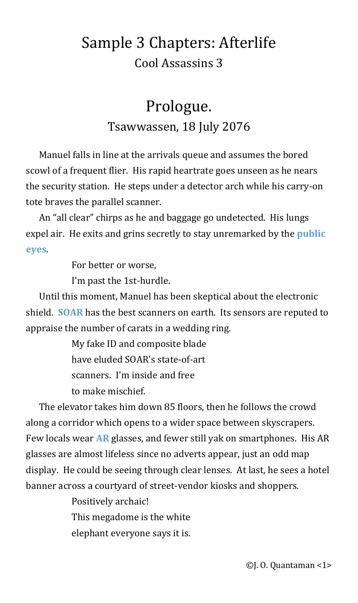# Sample 3 Chapters: Afterlife Cool Assassins 3

## <span id="page-0-3"></span>Prologue. Tsawwassen, 18 July 2076

Manuel falls in line at the arrivals queue and assumes the bored scowl of a frequent flier. His rapid heartrate goes unseen as he nears the security station. He steps under a detector arch while his carry-on tote braves the parallel scanner.

An "all clear" chirps as he and baggage go undetected. His lungs expel air. He exits and grins secretly to stay unremarked by the **[public](#page-31-2)  [eyes](#page-31-2)**.

<span id="page-0-2"></span>For better or worse,

<span id="page-0-1"></span>I'm past the 1st-hurdle.

Until this moment, Manuel has been skeptical about the electronic shield. **[SOAR](#page-31-1)** has the best scanners on earth. Its sensors are reputed to appraise the number of carats in a wedding ring.

> My fake ID and composite blade have eluded SOAR's state-of-art scanners. I'm inside and free to make mischief.

The elevator takes him down 85 floors, then he follows the crowd along a corridor which opens to a wider space between skyscrapers. Few locals wear **[AR](#page-31-0)** glasses, and fewer still yak on smartphones. His AR glasses are almost lifeless since no adverts appear, just an odd map display. He could be seeing through clear lenses. At last, he sees a hotel banner across a courtyard of street-vendor kiosks and shoppers.

> <span id="page-0-0"></span>Positively archaic! This megadome is the white elephant everyone says it is.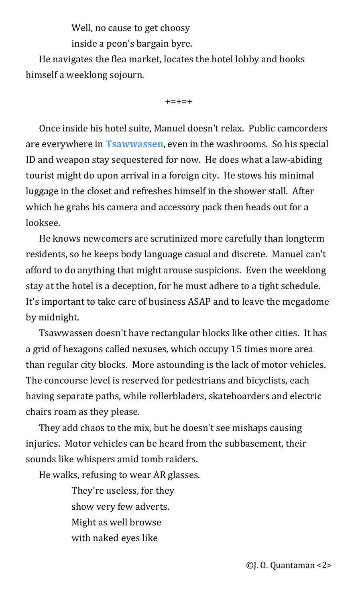Well, no cause to get choosy

inside a peon's bargain byre.

He navigates the flea market, locates the hotel lobby and books himself a weeklong sojourn.

<span id="page-1-0"></span> $+ = + = +$ 

Once inside his hotel suite, Manuel doesn't relax. Public camcorders are everywhere in **[Tsawwassen](#page-31-3)**, even in the washrooms. So his special ID and weapon stay sequestered for now. He does what a law-abiding tourist might do upon arrival in a foreign city. He stows his minimal luggage in the closet and refreshes himself in the shower stall. After which he grabs his camera and accessory pack then heads out for a looksee.

He knows newcomers are scrutinized more carefully than longterm residents, so he keeps body language casual and discrete. Manuel can't afford to do anything that might arouse suspicions. Even the weeklong stay at the hotel is a deception, for he must adhere to a tight schedule. It's important to take care of business ASAP and to leave the megadome by midnight.

Tsawwassen doesn't have rectangular blocks like other cities. It has a grid of hexagons called nexuses, which occupy 15 times more area than regular city blocks. More astounding is the lack of motor vehicles. The concourse level is reserved for pedestrians and bicyclists, each having separate paths, while rollerbladers, skateboarders and electric chairs roam as they please.

They add chaos to the mix, but he doesn't see mishaps causing injuries. Motor vehicles can be heard from the subbasement, their sounds like whispers amid tomb raiders.

He walks, refusing to wear AR glasses.

They're useless, for they show very few adverts. Might as well browse with naked eyes like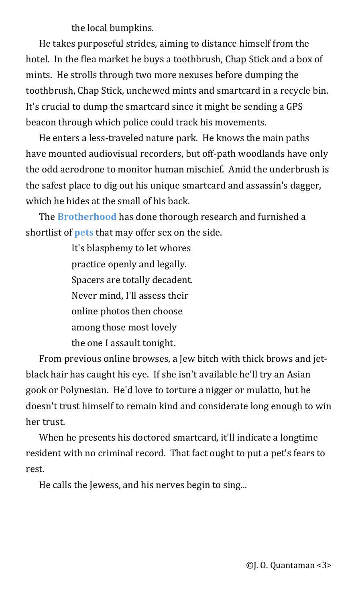the local bumpkins.

He takes purposeful strides, aiming to distance himself from the hotel. In the flea market he buys a toothbrush, Chap Stick and a box of mints. He strolls through two more nexuses before dumping the toothbrush, Chap Stick, unchewed mints and smartcard in a recycle bin. It's crucial to dump the smartcard since it might be sending a GPS beacon through which police could track his movements.

He enters a less-traveled nature park. He knows the main paths have mounted audiovisual recorders, but off-path woodlands have only the odd aerodrone to monitor human mischief. Amid the underbrush is the safest place to dig out his unique smartcard and assassin's dagger, which he hides at the small of his back.

<span id="page-2-1"></span>The **[Brotherhood](#page-31-5)** has done thorough research and furnished a shortlist of **[pets](#page-31-4)** that may offer sex on the side.

> <span id="page-2-0"></span>It's blasphemy to let whores practice openly and legally. Spacers are totally decadent. Never mind, I'll assess their online photos then choose among those most lovely the one I assault tonight.

From previous online browses, a Jew bitch with thick brows and jetblack hair has caught his eye. If she isn't available he'll try an Asian gook or Polynesian. He'd love to torture a nigger or mulatto, but he doesn't trust himself to remain kind and considerate long enough to win her trust.

When he presents his doctored smartcard, it'll indicate a longtime resident with no criminal record. That fact ought to put a pet's fears to rest.

He calls the Jewess, and his nerves begin to sing...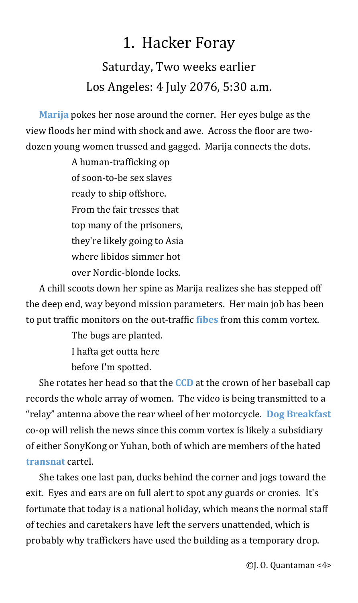## <span id="page-3-0"></span>1. Hacker Foray

Saturday, Two weeks earlier Los Angeles: 4 July 2076, 5:30 a.m.

<span id="page-3-4"></span>**[Marija](#page-31-6)** pokes her nose around the corner. Her eyes bulge as the view floods her mind with shock and awe. Across the floor are twodozen young women trussed and gagged. Marija connects the dots.

> A human-trafficking op of soon-to-be sex slaves ready to ship offshore. From the fair tresses that top many of the prisoners, they're likely going to Asia where libidos simmer hot over Nordic-blonde locks.

A chill scoots down her spine as Marija realizes she has stepped off the deep end, way beyond mission parameters. Her main job has been to put traffic monitors on the out-traffic **[fibes](#page-32-3)** from this comm vortex.

> <span id="page-3-3"></span><span id="page-3-2"></span><span id="page-3-1"></span>The bugs are planted. I hafta get outta here before I'm spotted.

She rotates her head so that the **[CCD](#page-32-2)** at the crown of her baseball cap records the whole array of women. The video is being transmitted to a "relay" antenna above the rear wheel of her motorcycle. **[Dog Breakfast](#page-32-1)** co-op will relish the news since this comm vortex is likely a subsidiary of either SonyKong or Yuhan, both of which are members of the hated **[transnat](#page-32-0)** cartel.

<span id="page-3-5"></span>She takes one last pan, ducks behind the corner and jogs toward the exit. Eyes and ears are on full alert to spot any guards or cronies. It's fortunate that today is a national holiday, which means the normal staff of techies and caretakers have left the servers unattended, which is probably why traffickers have used the building as a temporary drop.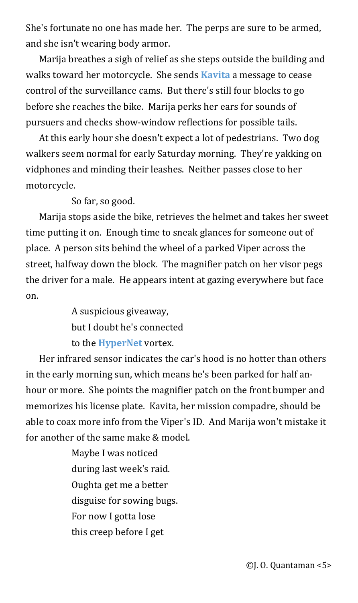She's fortunate no one has made her. The perps are sure to be armed, and she isn't wearing body armor.

<span id="page-4-1"></span>Marija breathes a sigh of relief as she steps outside the building and walks toward her motorcycle. She sends **[Kavita](#page-33-1)** a message to cease control of the surveillance cams. But there's still four blocks to go before she reaches the bike. Marija perks her ears for sounds of pursuers and checks show-window reflections for possible tails.

At this early hour she doesn't expect a lot of pedestrians. Two dog walkers seem normal for early Saturday morning. They're yakking on vidphones and minding their leashes. Neither passes close to her motorcycle.

So far, so good.

Marija stops aside the bike, retrieves the helmet and takes her sweet time putting it on. Enough time to sneak glances for someone out of place. A person sits behind the wheel of a parked Viper across the street, halfway down the block. The magnifier patch on her visor pegs the driver for a male. He appears intent at gazing everywhere but face on.

> <span id="page-4-0"></span>A suspicious giveaway, but I doubt he's connected to the **[HyperNet](#page-33-0)** vortex.

Her infrared sensor indicates the car's hood is no hotter than others in the early morning sun, which means he's been parked for half anhour or more. She points the magnifier patch on the front bumper and memorizes his license plate. Kavita, her mission compadre, should be able to coax more info from the Viper's ID. And Marija won't mistake it for another of the same make & model.

> Maybe I was noticed during last week's raid. Oughta get me a better disguise for sowing bugs. For now I gotta lose this creep before I get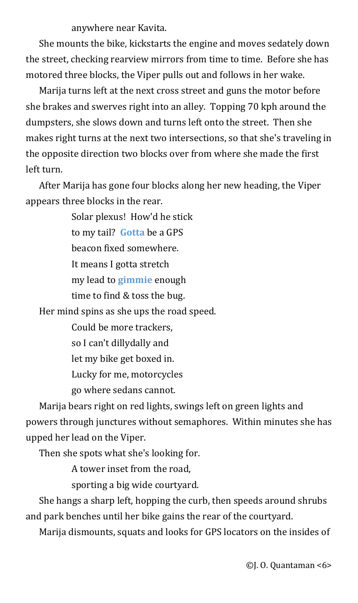anywhere near Kavita.

She mounts the bike, kickstarts the engine and moves sedately down the street, checking rearview mirrors from time to time. Before she has motored three blocks, the Viper pulls out and follows in her wake.

Marija turns left at the next cross street and guns the motor before she brakes and swerves right into an alley. Topping 70 kph around the dumpsters, she slows down and turns left onto the street. Then she makes right turns at the next two intersections, so that she's traveling in the opposite direction two blocks over from where she made the first left turn.

After Marija has gone four blocks along her new heading, the Viper appears three blocks in the rear.

> <span id="page-5-1"></span>Solar plexus! How'd he stick to my tail? **[Gotta](#page-33-3)** be a GPS beacon fixed somewhere. It means I gotta stretch my lead to **[gimmie](#page-33-2)** enough time to find & toss the bug.

Her mind spins as she ups the road speed.

<span id="page-5-0"></span>Could be more trackers, so I can't dillydally and let my bike get boxed in. Lucky for me, motorcycles go where sedans cannot.

Marija bears right on red lights, swings left on green lights and powers through junctures without semaphores. Within minutes she has upped her lead on the Viper.

Then she spots what she's looking for.

A tower inset from the road,

sporting a big wide courtyard.

She hangs a sharp left, hopping the curb, then speeds around shrubs and park benches until her bike gains the rear of the courtyard.

Marija dismounts, squats and looks for GPS locators on the insides of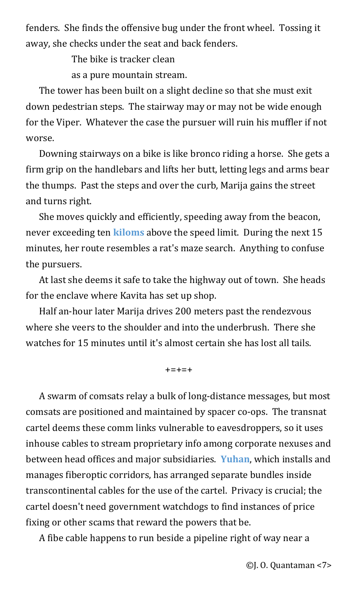fenders. She finds the offensive bug under the front wheel. Tossing it away, she checks under the seat and back fenders.

The bike is tracker clean

as a pure mountain stream.

The tower has been built on a slight decline so that she must exit down pedestrian steps. The stairway may or may not be wide enough for the Viper. Whatever the case the pursuer will ruin his muffler if not worse.

Downing stairways on a bike is like bronco riding a horse. She gets a firm grip on the handlebars and lifts her butt, letting legs and arms bear the thumps. Past the steps and over the curb, Marija gains the street and turns right.

<span id="page-6-1"></span>She moves quickly and efficiently, speeding away from the beacon, never exceeding ten **[kiloms](#page-33-5)** above the speed limit. During the next 15 minutes, her route resembles a rat's maze search. Anything to confuse the pursuers.

At last she deems it safe to take the highway out of town. She heads for the enclave where Kavita has set up shop.

Half an-hour later Marija drives 200 meters past the rendezvous where she veers to the shoulder and into the underbrush. There she watches for 15 minutes until it's almost certain she has lost all tails.

<span id="page-6-0"></span>+=+=+

A swarm of comsats relay a bulk of long-distance messages, but most comsats are positioned and maintained by spacer co-ops. The transnat cartel deems these comm links vulnerable to eavesdroppers, so it uses inhouse cables to stream proprietary info among corporate nexuses and between head offices and major subsidiaries. **[Yuhan](#page-33-4)**, which installs and manages fiberoptic corridors, has arranged separate bundles inside transcontinental cables for the use of the cartel. Privacy is crucial; the cartel doesn't need government watchdogs to find instances of price fixing or other scams that reward the powers that be.

A fibe cable happens to run beside a pipeline right of way near a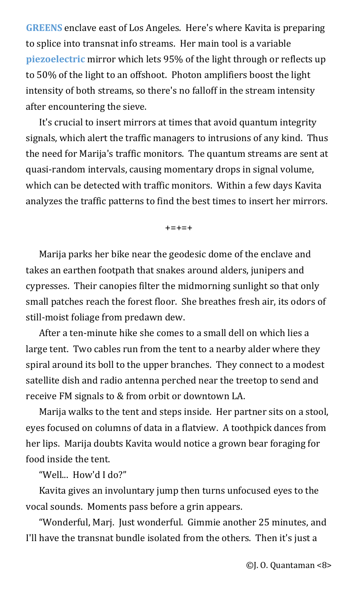<span id="page-7-1"></span><span id="page-7-0"></span>**[GREENS](#page-33-7)** enclave east of Los Angeles. Here's where Kavita is preparing to splice into transnat info streams. Her main tool is a variable **[piezoelectric](#page-33-6)** mirror which lets 95% of the light through or reflects up to 50% of the light to an offshoot. Photon amplifiers boost the light intensity of both streams, so there's no falloff in the stream intensity after encountering the sieve.

It's crucial to insert mirrors at times that avoid quantum integrity signals, which alert the traffic managers to intrusions of any kind. Thus the need for Marija's traffic monitors. The quantum streams are sent at quasi-random intervals, causing momentary drops in signal volume, which can be detected with traffic monitors. Within a few days Kavita analyzes the traffic patterns to find the best times to insert her mirrors.

+=+=+

Marija parks her bike near the geodesic dome of the enclave and takes an earthen footpath that snakes around alders, junipers and cypresses. Their canopies filter the midmorning sunlight so that only small patches reach the forest floor. She breathes fresh air, its odors of still-moist foliage from predawn dew.

After a ten-minute hike she comes to a small dell on which lies a large tent. Two cables run from the tent to a nearby alder where they spiral around its boll to the upper branches. They connect to a modest satellite dish and radio antenna perched near the treetop to send and receive FM signals to & from orbit or downtown LA.

Marija walks to the tent and steps inside. Her partner sits on a stool, eyes focused on columns of data in a flatview. A toothpick dances from her lips. Marija doubts Kavita would notice a grown bear foraging for food inside the tent.

"Well... How'd I do?"

Kavita gives an involuntary jump then turns unfocused eyes to the vocal sounds. Moments pass before a grin appears.

"Wonderful, Marj. Just wonderful. Gimmie another 25 minutes, and I'll have the transnat bundle isolated from the others. Then it's just a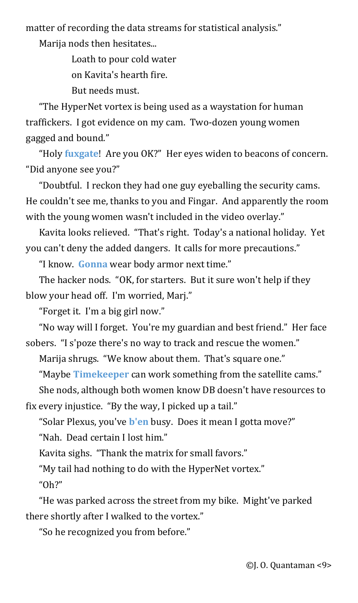matter of recording the data streams for statistical analysis."

Marija nods then hesitates...

Loath to pour cold water

on Kavita's hearth fire.

But needs must.

"The HyperNet vortex is being used as a waystation for human traffickers. I got evidence on my cam. Two-dozen young women gagged and bound."

<span id="page-8-0"></span>"Holy **[fuxgate](#page-33-8)**! Are you OK?" Her eyes widen to beacons of concern. "Did anyone see you?"

"Doubtful. I reckon they had one guy eyeballing the security cams. He couldn't see me, thanks to you and Fingar. And apparently the room with the young women wasn't included in the video overlay."

Kavita looks relieved. "That's right. Today's a national holiday. Yet you can't deny the added dangers. It calls for more precautions."

<span id="page-8-3"></span>"I know. **[Gonna](#page-34-2)** wear body armor next time."

The hacker nods. "OK, for starters. But it sure won't help if they blow your head off. I'm worried, Marj."

"Forget it. I'm a big girl now."

"No way will I forget. You're my guardian and best friend." Her face sobers. "I s'poze there's no way to track and rescue the women."

Marija shrugs. "We know about them. That's square one."

<span id="page-8-2"></span>"Maybe **[Timekeeper](#page-34-1)** can work something from the satellite cams."

She nods, although both women know DB doesn't have resources to

fix every injustice. "By the way, I picked up a tail."

<span id="page-8-1"></span>"Solar Plexus, you've **[b'en](#page-34-0)** busy. Does it mean I gotta move?"

"Nah. Dead certain I lost him."

Kavita sighs. "Thank the matrix for small favors."

"My tail had nothing to do with the HyperNet vortex." "Oh?"

"He was parked across the street from my bike. Might've parked there shortly after I walked to the vortex."

"So he recognized you from before."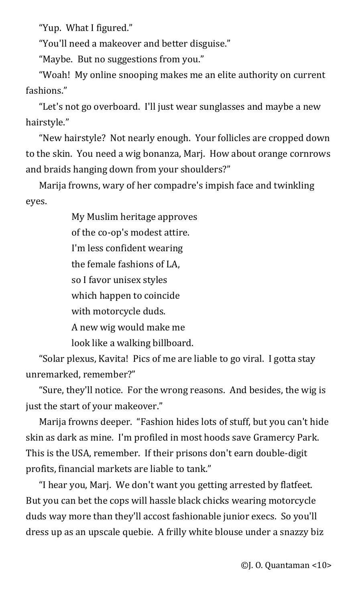"Yup. What I figured."

"You'll need a makeover and better disguise."

"Maybe. But no suggestions from you."

"Woah! My online snooping makes me an elite authority on current fashions."

"Let's not go overboard. I'll just wear sunglasses and maybe a new hairstyle."

"New hairstyle? Not nearly enough. Your follicles are cropped down to the skin. You need a wig bonanza, Marj. How about orange cornrows and braids hanging down from your shoulders?"

Marija frowns, wary of her compadre's impish face and twinkling eyes.

My Muslim heritage approves of the co-op's modest attire. I'm less confident wearing the female fashions of LA, so I favor unisex styles which happen to coincide with motorcycle duds. A new wig would make me look like a walking billboard.

"Solar plexus, Kavita! Pics of me are liable to go viral. I gotta stay unremarked, remember?"

"Sure, they'll notice. For the wrong reasons. And besides, the wig is just the start of your makeover."

Marija frowns deeper. "Fashion hides lots of stuff, but you can't hide skin as dark as mine. I'm profiled in most hoods save Gramercy Park. This is the USA, remember. If their prisons don't earn double-digit profits, financial markets are liable to tank."

"I hear you, Marj. We don't want you getting arrested by flatfeet. But you can bet the cops will hassle black chicks wearing motorcycle duds way more than they'll accost fashionable junior execs. So you'll dress up as an upscale quebie. A frilly white blouse under a snazzy biz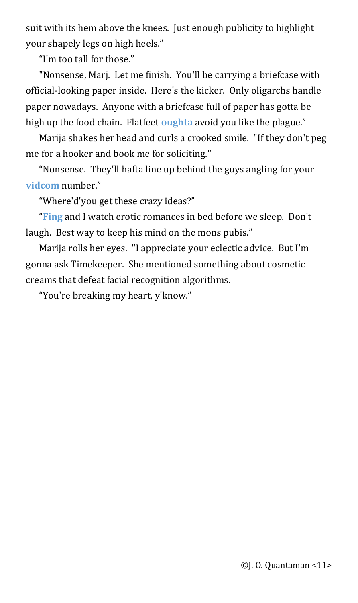suit with its hem above the knees. Just enough publicity to highlight your shapely legs on high heels."

"I'm too tall for those."

"Nonsense, Marj. Let me finish. You'll be carrying a briefcase with official-looking paper inside. Here's the kicker. Only oligarchs handle paper nowadays. Anyone with a briefcase full of paper has gotta be high up the food chain. Flatfeet **[oughta](#page-34-5)** avoid you like the plague."

<span id="page-10-2"></span>Marija shakes her head and curls a crooked smile. "If they don't peg me for a hooker and book me for soliciting."

<span id="page-10-1"></span>"Nonsense. They'll hafta line up behind the guys angling for your **[vidcom](#page-34-4)** number."

<span id="page-10-0"></span>"Where'd'you get these crazy ideas?"

"**[Fing](#page-34-3)** and I watch erotic romances in bed before we sleep. Don't laugh. Best way to keep his mind on the mons pubis."

Marija rolls her eyes. "I appreciate your eclectic advice. But I'm gonna ask Timekeeper. She mentioned something about cosmetic creams that defeat facial recognition algorithms.

"You're breaking my heart, y'know."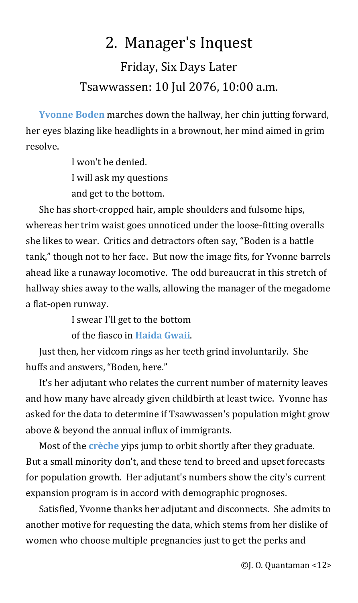## <span id="page-11-3"></span>2. Manager's Inquest

## Friday, Six Days Later Tsawwassen: 10 Jul 2076, 10:00 a.m.

<span id="page-11-2"></span>**[Yvonne Boden](#page-34-8)** marches down the hallway, her chin jutting forward, her eyes blazing like headlights in a brownout, her mind aimed in grim resolve.

> I won't be denied. I will ask my questions and get to the bottom.

She has short-cropped hair, ample shoulders and fulsome hips, whereas her trim waist goes unnoticed under the loose-fitting overalls she likes to wear. Critics and detractors often say, "Boden is a battle tank," though not to her face. But now the image fits, for Yvonne barrels ahead like a runaway locomotive. The odd bureaucrat in this stretch of hallway shies away to the walls, allowing the manager of the megadome a flat-open runway.

I swear I'll get to the bottom

<span id="page-11-1"></span>of the fiasco in **[Haida Gwaii](#page-34-7)**.

Just then, her vidcom rings as her teeth grind involuntarily. She huffs and answers, "Boden, here."

It's her adjutant who relates the current number of maternity leaves and how many have already given childbirth at least twice. Yvonne has asked for the data to determine if Tsawwassen's population might grow above & beyond the annual influx of immigrants.

<span id="page-11-0"></span>Most of the **[crèche](#page-34-6)** yips jump to orbit shortly after they graduate. But a small minority don't, and these tend to breed and upset forecasts for population growth. Her adjutant's numbers show the city's current expansion program is in accord with demographic prognoses.

Satisfied, Yvonne thanks her adjutant and disconnects. She admits to another motive for requesting the data, which stems from her dislike of women who choose multiple pregnancies just to get the perks and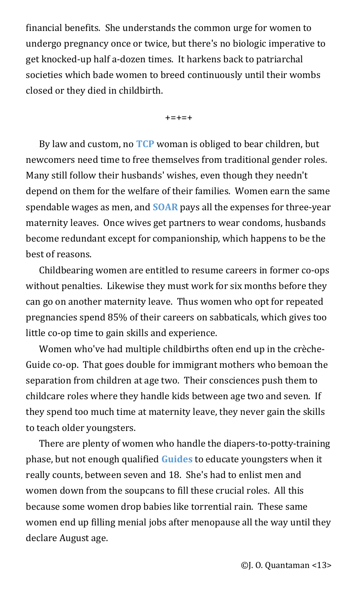financial benefits. She understands the common urge for women to undergo pregnancy once or twice, but there's no biologic imperative to get knocked-up half a-dozen times. It harkens back to patriarchal societies which bade women to breed continuously until their wombs closed or they died in childbirth.

<span id="page-12-2"></span><span id="page-12-1"></span>+=+=+

By law and custom, no **[TCP](#page-34-9)** woman is obliged to bear children, but newcomers need time to free themselves from traditional gender roles. Many still follow their husbands' wishes, even though they needn't depend on them for the welfare of their families. Women earn the same spendable wages as men, and **[SOAR](#page-35-1)** pays all the expenses for three-year maternity leaves. Once wives get partners to wear condoms, husbands become redundant except for companionship, which happens to be the best of reasons.

Childbearing women are entitled to resume careers in former co-ops without penalties. Likewise they must work for six months before they can go on another maternity leave. Thus women who opt for repeated pregnancies spend 85% of their careers on sabbaticals, which gives too little co-op time to gain skills and experience.

Women who've had multiple childbirths often end up in the crèche-Guide co-op. That goes double for immigrant mothers who bemoan the separation from children at age two. Their consciences push them to childcare roles where they handle kids between age two and seven. If they spend too much time at maternity leave, they never gain the skills to teach older youngsters.

<span id="page-12-0"></span>There are plenty of women who handle the diapers-to-potty-training phase, but not enough qualified **[Guides](#page-35-0)** to educate youngsters when it really counts, between seven and 18. She's had to enlist men and women down from the soupcans to fill these crucial roles. All this because some women drop babies like torrential rain. These same women end up filling menial jobs after menopause all the way until they declare August age.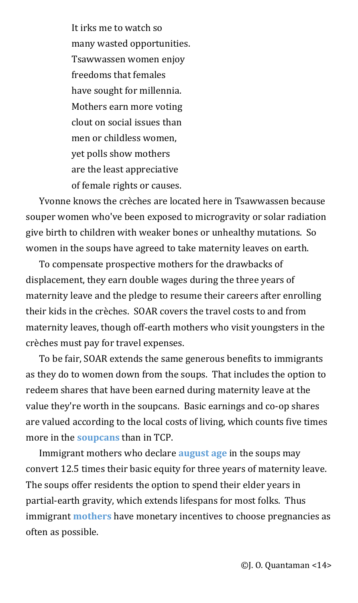It irks me to watch so many wasted opportunities. Tsawwassen women enjoy freedoms that females have sought for millennia. Mothers earn more voting clout on social issues than men or childless women, yet polls show mothers are the least appreciative of female rights or causes.

Yvonne knows the crèches are located here in Tsawwassen because souper women who've been exposed to microgravity or solar radiation give birth to children with weaker bones or unhealthy mutations. So women in the soups have agreed to take maternity leaves on earth.

To compensate prospective mothers for the drawbacks of displacement, they earn double wages during the three years of maternity leave and the pledge to resume their careers after enrolling their kids in the crèches. SOAR covers the travel costs to and from maternity leaves, though off-earth mothers who visit youngsters in the crèches must pay for travel expenses.

To be fair, SOAR extends the same generous benefits to immigrants as they do to women down from the soups. That includes the option to redeem shares that have been earned during maternity leave at the value they're worth in the soupcans. Basic earnings and co-op shares are valued according to the local costs of living, which counts five times more in the **[soupcans](#page-35-4)** than in TCP.

<span id="page-13-2"></span><span id="page-13-1"></span><span id="page-13-0"></span>Immigrant mothers who declare **[august age](#page-35-3)** in the soups may convert 12.5 times their basic equity for three years of maternity leave. The soups offer residents the option to spend their elder years in partial-earth gravity, which extends lifespans for most folks. Thus immigrant **[mothers](#page-35-2)** have monetary incentives to choose pregnancies as often as possible.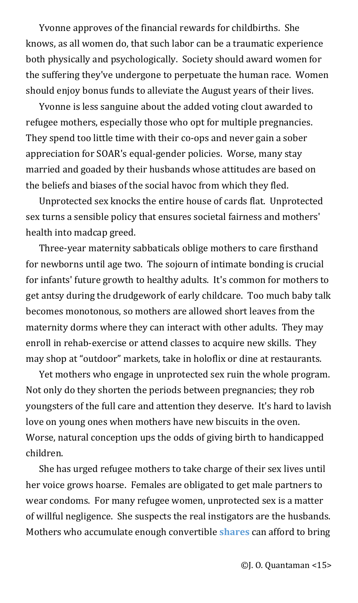Yvonne approves of the financial rewards for childbirths. She knows, as all women do, that such labor can be a traumatic experience both physically and psychologically. Society should award women for the suffering they've undergone to perpetuate the human race. Women should enjoy bonus funds to alleviate the August years of their lives.

Yvonne is less sanguine about the added voting clout awarded to refugee mothers, especially those who opt for multiple pregnancies. They spend too little time with their co-ops and never gain a sober appreciation for SOAR's equal-gender policies. Worse, many stay married and goaded by their husbands whose attitudes are based on the beliefs and biases of the social havoc from which they fled.

Unprotected sex knocks the entire house of cards flat. Unprotected sex turns a sensible policy that ensures societal fairness and mothers' health into madcap greed.

Three-year maternity sabbaticals oblige mothers to care firsthand for newborns until age two. The sojourn of intimate bonding is crucial for infants' future growth to healthy adults. It's common for mothers to get antsy during the drudgework of early childcare. Too much baby talk becomes monotonous, so mothers are allowed short leaves from the maternity dorms where they can interact with other adults. They may enroll in rehab-exercise or attend classes to acquire new skills. They may shop at "outdoor" markets, take in holoflix or dine at restaurants.

Yet mothers who engage in unprotected sex ruin the whole program. Not only do they shorten the periods between pregnancies; they rob youngsters of the full care and attention they deserve. It's hard to lavish love on young ones when mothers have new biscuits in the oven. Worse, natural conception ups the odds of giving birth to handicapped children.

<span id="page-14-0"></span>She has urged refugee mothers to take charge of their sex lives until her voice grows hoarse. Females are obligated to get male partners to wear condoms. For many refugee women, unprotected sex is a matter of willful negligence. She suspects the real instigators are the husbands. Mothers who accumulate enough convertible **[shares](#page-36-0)** can afford to bring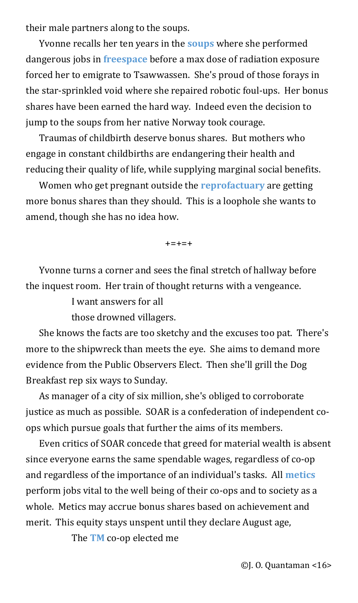their male partners along to the soups.

<span id="page-15-2"></span><span id="page-15-1"></span>Yvonne recalls her ten years in the **[soups](#page-36-4)** where she performed dangerous jobs in **[freespace](#page-36-3)** before a max dose of radiation exposure forced her to emigrate to Tsawwassen. She's proud of those forays in the star-sprinkled void where she repaired robotic foul-ups. Her bonus shares have been earned the hard way. Indeed even the decision to jump to the soups from her native Norway took courage.

Traumas of childbirth deserve bonus shares. But mothers who engage in constant childbirths are endangering their health and reducing their quality of life, while supplying marginal social benefits.

Women who get pregnant outside the **[reprofactuary](#page-36-2)** are getting more bonus shares than they should. This is a loophole she wants to amend, though she has no idea how.

<span id="page-15-0"></span> $+ = + = +$ 

Yvonne turns a corner and sees the final stretch of hallway before the inquest room. Her train of thought returns with a vengeance.

I want answers for all

those drowned villagers.

She knows the facts are too sketchy and the excuses too pat. There's more to the shipwreck than meets the eye. She aims to demand more evidence from the Public Observers Elect. Then she'll grill the Dog Breakfast rep six ways to Sunday.

As manager of a city of six million, she's obliged to corroborate justice as much as possible. SOAR is a confederation of independent coops which pursue goals that further the aims of its members.

Even critics of SOAR concede that greed for material wealth is absent since everyone earns the same spendable wages, regardless of co-op and regardless of the importance of an individual's tasks. All **[metics](#page-36-1)** perform jobs vital to the well being of their co-ops and to society as a whole. Metics may accrue bonus shares based on achievement and merit. This equity stays unspent until they declare August age,

<span id="page-15-4"></span><span id="page-15-3"></span>The **[TM](#page-37-0)** co-op elected me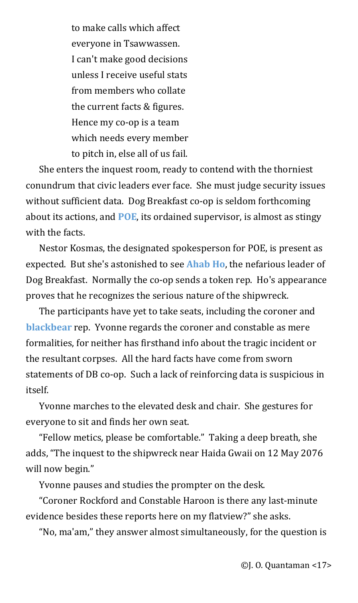to make calls which affect everyone in Tsawwassen. I can't make good decisions unless I receive useful stats from members who collate the current facts & figures. Hence my co-op is a team which needs every member to pitch in, else all of us fail.

She enters the inquest room, ready to contend with the thorniest conundrum that civic leaders ever face. She must judge security issues without sufficient data. Dog Breakfast co-op is seldom forthcoming about its actions, and **[POE](#page-37-3)**, its ordained supervisor, is almost as stingy with the facts.

<span id="page-16-2"></span><span id="page-16-1"></span>Nestor Kosmas, the designated spokesperson for POE, is present as expected. But she's astonished to see **[Ahab Ho](#page-37-2)**, the nefarious leader of Dog Breakfast. Normally the co-op sends a token rep. Ho's appearance proves that he recognizes the serious nature of the shipwreck.

<span id="page-16-0"></span>The participants have yet to take seats, including the coroner and **[blackbear](#page-37-1)** rep. Yvonne regards the coroner and constable as mere formalities, for neither has firsthand info about the tragic incident or the resultant corpses. All the hard facts have come from sworn statements of DB co-op. Such a lack of reinforcing data is suspicious in itself.

Yvonne marches to the elevated desk and chair. She gestures for everyone to sit and finds her own seat.

"Fellow metics, please be comfortable." Taking a deep breath, she adds, "The inquest to the shipwreck near Haida Gwaii on 12 May 2076 will now begin."

Yvonne pauses and studies the prompter on the desk.

"Coroner Rockford and Constable Haroon is there any last-minute evidence besides these reports here on my flatview?" she asks.

"No, ma'am," they answer almost simultaneously, for the question is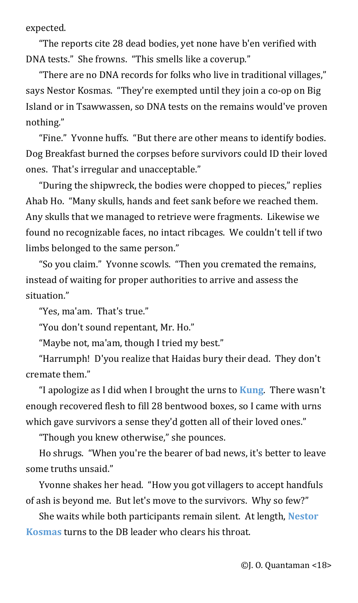expected.

"The reports cite 28 dead bodies, yet none have b'en verified with DNA tests." She frowns. "This smells like a coverup."

"There are no DNA records for folks who live in traditional villages," says Nestor Kosmas. "They're exempted until they join a co-op on Big Island or in Tsawwassen, so DNA tests on the remains would've proven nothing."

"Fine." Yvonne huffs. "But there are other means to identify bodies. Dog Breakfast burned the corpses before survivors could ID their loved ones. That's irregular and unacceptable."

"During the shipwreck, the bodies were chopped to pieces," replies Ahab Ho. "Many skulls, hands and feet sank before we reached them. Any skulls that we managed to retrieve were fragments. Likewise we found no recognizable faces, no intact ribcages. We couldn't tell if two limbs belonged to the same person."

"So you claim." Yvonne scowls. "Then you cremated the remains, instead of waiting for proper authorities to arrive and assess the situation."

"Yes, ma'am. That's true."

"You don't sound repentant, Mr. Ho."

"Maybe not, ma'am, though I tried my best."

"Harrumph! D'you realize that Haidas bury their dead. They don't cremate them."

"I apologize as I did when I brought the urns to **[Kung](#page-37-5)**. There wasn't enough recovered flesh to fill 28 bentwood boxes, so I came with urns which gave survivors a sense they'd gotten all of their loved ones."

<span id="page-17-1"></span><span id="page-17-0"></span>"Though you knew otherwise," she pounces.

Ho shrugs. "When you're the bearer of bad news, it's better to leave some truths unsaid."

Yvonne shakes her head. "How you got villagers to accept handfuls of ash is beyond me. But let's move to the survivors. Why so few?"

She waits while both participants remain silent. At length, **[Nestor](#page-37-4)  [Kosmas](#page-37-4)** turns to the DB leader who clears his throat.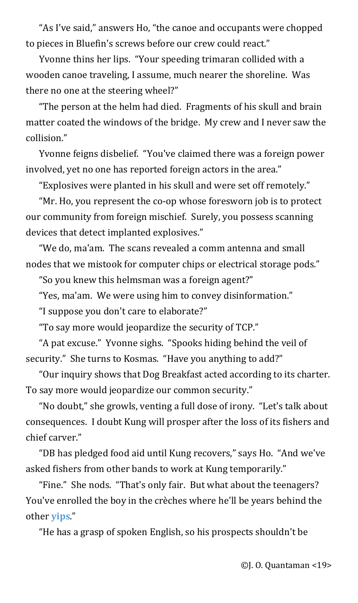"As I've said," answers Ho, "the canoe and occupants were chopped to pieces in Bluefin's screws before our crew could react."

Yvonne thins her lips. "Your speeding trimaran collided with a wooden canoe traveling, I assume, much nearer the shoreline. Was there no one at the steering wheel?"

"The person at the helm had died. Fragments of his skull and brain matter coated the windows of the bridge. My crew and I never saw the collision."

Yvonne feigns disbelief. "You've claimed there was a foreign power involved, yet no one has reported foreign actors in the area."

"Explosives were planted in his skull and were set off remotely."

"Mr. Ho, you represent the co-op whose foresworn job is to protect our community from foreign mischief. Surely, you possess scanning devices that detect implanted explosives."

"We do, ma'am. The scans revealed a comm antenna and small nodes that we mistook for computer chips or electrical storage pods."

"So you knew this helmsman was a foreign agent?"

"Yes, ma'am. We were using him to convey disinformation."

"I suppose you don't care to elaborate?"

"To say more would jeopardize the security of TCP."

"A pat excuse." Yvonne sighs. "Spooks hiding behind the veil of security." She turns to Kosmas. "Have you anything to add?"

"Our inquiry shows that Dog Breakfast acted according to its charter. To say more would jeopardize our common security."

"No doubt," she growls, venting a full dose of irony. "Let's talk about consequences. I doubt Kung will prosper after the loss of its fishers and chief carver."

"DB has pledged food aid until Kung recovers," says Ho. "And we've asked fishers from other bands to work at Kung temporarily."

"Fine." She nods. "That's only fair. But what about the teenagers? You've enrolled the boy in the crèches where he'll be years behind the other **[yips](#page-37-6)**."

<span id="page-18-0"></span>"He has a grasp of spoken English, so his prospects shouldn't be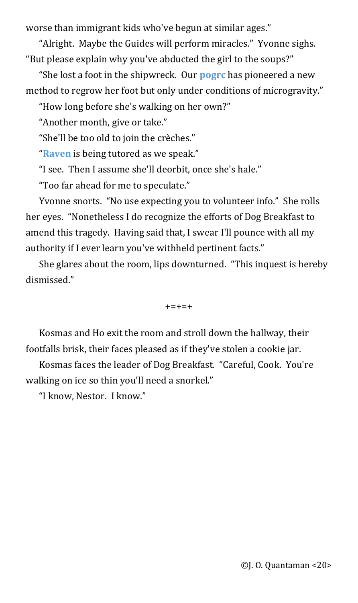worse than immigrant kids who've begun at similar ages."

"Alright. Maybe the Guides will perform miracles." Yvonne sighs. "But please explain why you've abducted the girl to the soups?"

"She lost a foot in the shipwreck. Our **[pogrc](#page-37-7)** has pioneered a new method to regrow her foot but only under conditions of microgravity."

<span id="page-19-1"></span>"How long before she's walking on her own?"

"Another month, give or take."

"She'll be too old to join the crèches."

<span id="page-19-0"></span>"**[Raven](#page-38-0)** is being tutored as we speak."

"I see. Then I assume she'll deorbit, once she's hale."

"Too far ahead for me to speculate."

Yvonne snorts. "No use expecting you to volunteer info." She rolls her eyes. "Nonetheless I do recognize the efforts of Dog Breakfast to amend this tragedy. Having said that, I swear I'll pounce with all my authority if I ever learn you've withheld pertinent facts."

She glares about the room, lips downturned. "This inquest is hereby dismissed."

 $+ = + = +$ 

Kosmas and Ho exit the room and stroll down the hallway, their footfalls brisk, their faces pleased as if they've stolen a cookie jar.

Kosmas faces the leader of Dog Breakfast. "Careful, Cook. You're walking on ice so thin you'll need a snorkel."

"I know, Nestor. I know."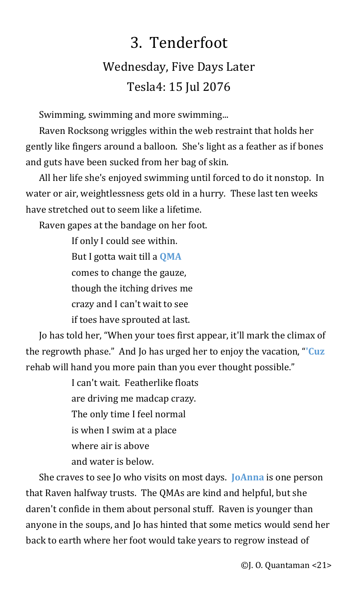# <span id="page-20-3"></span>3. Tenderfoot Wednesday, Five Days Later Tesla4: 15 Jul 2076

Swimming, swimming and more swimming...

Raven Rocksong wriggles within the web restraint that holds her gently like fingers around a balloon. She's light as a feather as if bones and guts have been sucked from her bag of skin.

All her life she's enjoyed swimming until forced to do it nonstop. In water or air, weightlessness gets old in a hurry. These last ten weeks have stretched out to seem like a lifetime.

Raven gapes at the bandage on her foot.

<span id="page-20-2"></span>If only I could see within. But I gotta wait till a **[QMA](#page-38-3)** comes to change the gauze, though the itching drives me crazy and I can't wait to see if toes have sprouted at last.

Jo has told her, "When your toes first appear, it'll mark the climax of the regrowth phase." And Jo has urged her to enjoy the vacation, "**['Cuz](#page-38-2)** rehab will hand you more pain than you ever thought possible."

> <span id="page-20-1"></span><span id="page-20-0"></span>I can't wait. Featherlike floats are driving me madcap crazy. The only time I feel normal is when I swim at a place where air is above and water is below.

She craves to see Jo who visits on most days. **[JoAnna](#page-38-1)** is one person that Raven halfway trusts. The QMAs are kind and helpful, but she daren't confide in them about personal stuff. Raven is younger than anyone in the soups, and Jo has hinted that some metics would send her back to earth where her foot would take years to regrow instead of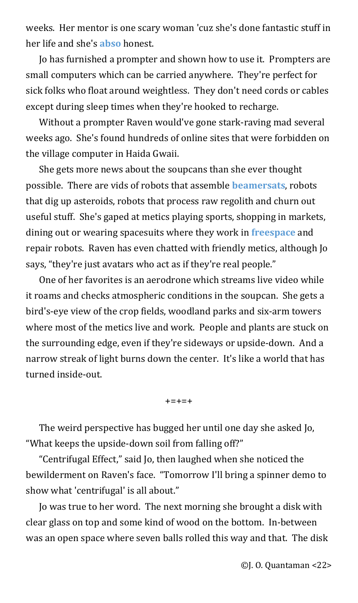<span id="page-21-2"></span>weeks. Her mentor is one scary woman 'cuz she's done fantastic stuff in her life and she's **[abso](#page-38-6)** honest.

Jo has furnished a prompter and shown how to use it. Prompters are small computers which can be carried anywhere. They're perfect for sick folks who float around weightless. They don't need cords or cables except during sleep times when they're hooked to recharge.

Without a prompter Raven would've gone stark-raving mad several weeks ago. She's found hundreds of online sites that were forbidden on the village computer in Haida Gwaii.

<span id="page-21-1"></span>She gets more news about the soupcans than she ever thought possible. There are vids of robots that assemble **[beamersats](#page-38-5)**, robots that dig up asteroids, robots that process raw regolith and churn out useful stuff. She's gaped at metics playing sports, shopping in markets, dining out or wearing spacesuits where they work in **[freespace](#page-38-4)** and repair robots. Raven has even chatted with friendly metics, although Jo says, "they're just avatars who act as if they're real people."

One of her favorites is an aerodrone which streams live video while it roams and checks atmospheric conditions in the soupcan. She gets a bird's-eye view of the crop fields, woodland parks and six-arm towers where most of the metics live and work. People and plants are stuck on the surrounding edge, even if they're sideways or upside-down. And a narrow streak of light burns down the center. It's like a world that has turned inside-out.

<span id="page-21-0"></span>+=+=+

The weird perspective has bugged her until one day she asked Jo, "What keeps the upside-down soil from falling off?"

"Centrifugal Effect," said Jo, then laughed when she noticed the bewilderment on Raven's face. "Tomorrow I'll bring a spinner demo to show what 'centrifugal' is all about."

Jo was true to her word. The next morning she brought a disk with clear glass on top and some kind of wood on the bottom. In-between was an open space where seven balls rolled this way and that. The disk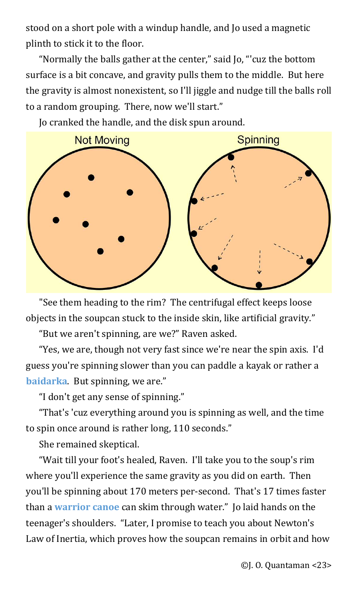stood on a short pole with a windup handle, and Jo used a magnetic plinth to stick it to the floor.

"Normally the balls gather at the center," said Jo, "'cuz the bottom surface is a bit concave, and gravity pulls them to the middle. But here the gravity is almost nonexistent, so I'll jiggle and nudge till the balls roll to a random grouping. There, now we'll start."



Jo cranked the handle, and the disk spun around.

"See them heading to the rim? The centrifugal effect keeps loose objects in the soupcan stuck to the inside skin, like artificial gravity."

"But we aren't spinning, are we?" Raven asked.

"Yes, we are, though not very fast since we're near the spin axis. I'd guess you're spinning slower than you can paddle a kayak or rather a **[baidarka](#page-38-8)**. But spinning, we are."

<span id="page-22-0"></span>"I don't get any sense of spinning."

"That's 'cuz everything around you is spinning as well, and the time to spin once around is rather long, 110 seconds."

She remained skeptical.

<span id="page-22-1"></span>"Wait till your foot's healed, Raven. I'll take you to the soup's rim where you'll experience the same gravity as you did on earth. Then you'll be spinning about 170 meters per-second. That's 17 times faster than a **[warrior canoe](#page-38-7)** can skim through water." Jo laid hands on the teenager's shoulders. "Later, I promise to teach you about Newton's Law of Inertia, which proves how the soupcan remains in orbit and how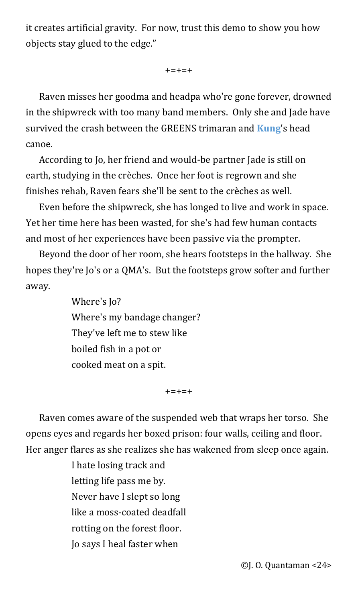it creates artificial gravity. For now, trust this demo to show you how objects stay glued to the edge."

<span id="page-23-0"></span> $+ = + = +$ 

Raven misses her goodma and headpa who're gone forever, drowned in the shipwreck with too many band members. Only she and Jade have survived the crash between the GREENS trimaran and **[Kung](#page-39-0)**'s head canoe.

According to Jo, her friend and would-be partner Jade is still on earth, studying in the crèches. Once her foot is regrown and she finishes rehab, Raven fears she'll be sent to the crèches as well.

Even before the shipwreck, she has longed to live and work in space. Yet her time here has been wasted, for she's had few human contacts and most of her experiences have been passive via the prompter.

Beyond the door of her room, she hears footsteps in the hallway. She hopes they're Jo's or a QMA's. But the footsteps grow softer and further away.

> Where's Jo? Where's my bandage changer? They've left me to stew like boiled fish in a pot or cooked meat on a spit.

> > $+ = + = +$

Raven comes aware of the suspended web that wraps her torso. She opens eyes and regards her boxed prison: four walls, ceiling and floor. Her anger flares as she realizes she has wakened from sleep once again.

> I hate losing track and letting life pass me by. Never have I slept so long like a moss-coated deadfall rotting on the forest floor. Jo says I heal faster when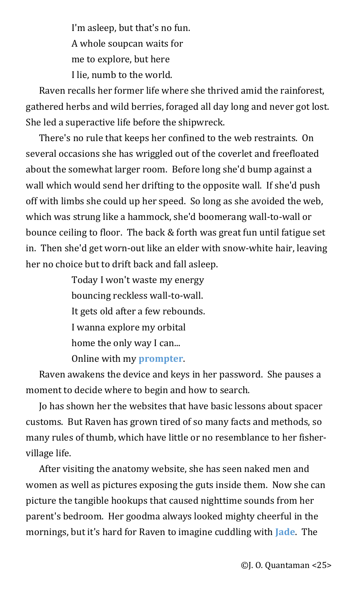I'm asleep, but that's no fun. A whole soupcan waits for me to explore, but here I lie, numb to the world.

Raven recalls her former life where she thrived amid the rainforest, gathered herbs and wild berries, foraged all day long and never got lost. She led a superactive life before the shipwreck.

There's no rule that keeps her confined to the web restraints. On several occasions she has wriggled out of the coverlet and freefloated about the somewhat larger room. Before long she'd bump against a wall which would send her drifting to the opposite wall. If she'd push off with limbs she could up her speed. So long as she avoided the web, which was strung like a hammock, she'd boomerang wall-to-wall or bounce ceiling to floor. The back & forth was great fun until fatigue set in. Then she'd get worn-out like an elder with snow-white hair, leaving her no choice but to drift back and fall asleep.

> <span id="page-24-1"></span>Today I won't waste my energy bouncing reckless wall-to-wall. It gets old after a few rebounds. I wanna explore my orbital home the only way I can... Online with my **[prompter](#page-39-2)**.

Raven awakens the device and keys in her password. She pauses a moment to decide where to begin and how to search.

Jo has shown her the websites that have basic lessons about spacer customs. But Raven has grown tired of so many facts and methods, so many rules of thumb, which have little or no resemblance to her fishervillage life.

<span id="page-24-0"></span>After visiting the anatomy website, she has seen naked men and women as well as pictures exposing the guts inside them. Now she can picture the tangible hookups that caused nighttime sounds from her parent's bedroom. Her goodma always looked mighty cheerful in the mornings, but it's hard for Raven to imagine cuddling with **[Jade](#page-39-1)**. The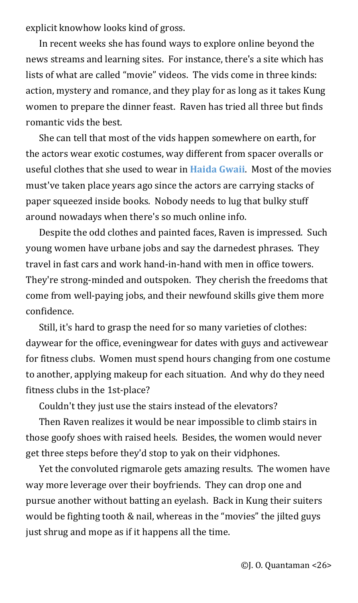explicit knowhow looks kind of gross.

In recent weeks she has found ways to explore online beyond the news streams and learning sites. For instance, there's a site which has lists of what are called "movie" videos. The vids come in three kinds: action, mystery and romance, and they play for as long as it takes Kung women to prepare the dinner feast. Raven has tried all three but finds romantic vids the best.

<span id="page-25-0"></span>She can tell that most of the vids happen somewhere on earth, for the actors wear exotic costumes, way different from spacer overalls or useful clothes that she used to wear in **[Haida Gwaii](#page-39-3)**. Most of the movies must've taken place years ago since the actors are carrying stacks of paper squeezed inside books. Nobody needs to lug that bulky stuff around nowadays when there's so much online info.

Despite the odd clothes and painted faces, Raven is impressed. Such young women have urbane jobs and say the darnedest phrases. They travel in fast cars and work hand-in-hand with men in office towers. They're strong-minded and outspoken. They cherish the freedoms that come from well-paying jobs, and their newfound skills give them more confidence.

Still, it's hard to grasp the need for so many varieties of clothes: daywear for the office, eveningwear for dates with guys and activewear for fitness clubs. Women must spend hours changing from one costume to another, applying makeup for each situation. And why do they need fitness clubs in the 1st-place?

Couldn't they just use the stairs instead of the elevators?

Then Raven realizes it would be near impossible to climb stairs in those goofy shoes with raised heels. Besides, the women would never get three steps before they'd stop to yak on their vidphones.

Yet the convoluted rigmarole gets amazing results. The women have way more leverage over their boyfriends. They can drop one and pursue another without batting an eyelash. Back in Kung their suiters would be fighting tooth & nail, whereas in the "movies" the jilted guys just shrug and mope as if it happens all the time.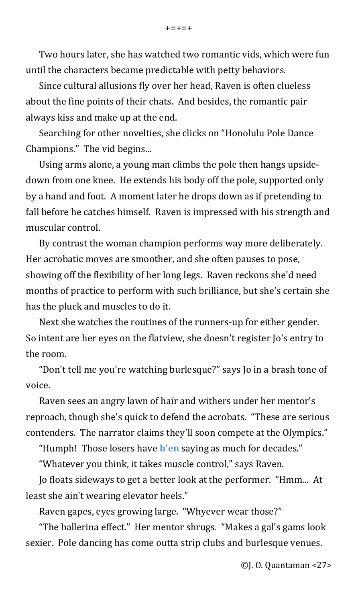Two hours later, she has watched two romantic vids, which were fun until the characters became predictable with petty behaviors.

Since cultural allusions fly over her head, Raven is often clueless about the fine points of their chats. And besides, the romantic pair always kiss and make up at the end.

Searching for other novelties, she clicks on "Honolulu Pole Dance Champions." The vid begins...

Using arms alone, a young man climbs the pole then hangs upsidedown from one knee. He extends his body off the pole, supported only by a hand and foot. A moment later he drops down as if pretending to fall before he catches himself. Raven is impressed with his strength and muscular control.

By contrast the woman champion performs way more deliberately. Her acrobatic moves are smoother, and she often pauses to pose, showing off the flexibility of her long legs. Raven reckons she'd need months of practice to perform with such brilliance, but she's certain she has the pluck and muscles to do it.

Next she watches the routines of the runners-up for either gender. So intent are her eyes on the flatview, she doesn't register Jo's entry to the room.

"Don't tell me you're watching burlesque?" says Jo in a brash tone of voice.

Raven sees an angry lawn of hair and withers under her mentor's reproach, though she's quick to defend the acrobats. "These are serious contenders. The narrator claims they'll soon compete at the Olympics."

<span id="page-26-0"></span>"Humph! Those losers have **[b'en](#page-39-4)** saying as much for decades."

"Whatever you think, it takes muscle control," says Raven.

Jo floats sideways to get a better look at the performer. "Hmm... At least she ain't wearing elevator heels."

Raven gapes, eyes growing large. "Whyever wear those?"

"The ballerina effect." Her mentor shrugs. "Makes a gal's gams look sexier. Pole dancing has come outta strip clubs and burlesque venues.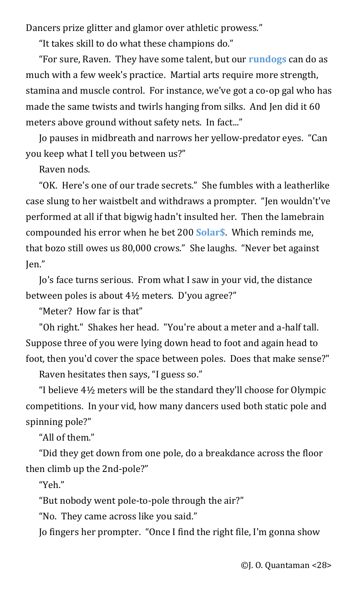Dancers prize glitter and glamor over athletic prowess."

<span id="page-27-1"></span>"It takes skill to do what these champions do."

"For sure, Raven. They have some talent, but our **[rundogs](#page-39-6)** can do as much with a few week's practice. Martial arts require more strength, stamina and muscle control. For instance, we've got a co-op gal who has made the same twists and twirls hanging from silks. And Jen did it 60 meters above ground without safety nets. In fact..."

Jo pauses in midbreath and narrows her yellow-predator eyes. "Can you keep what I tell you between us?"

<span id="page-27-0"></span>Raven nods.

"OK. Here's one of our trade secrets." She fumbles with a leatherlike case slung to her waistbelt and withdraws a prompter. "Jen wouldn't've performed at all if that bigwig hadn't insulted her. Then the lamebrain compounded his error when he bet 200 **[Solar\\$](#page-39-5)**. Which reminds me, that bozo still owes us 80,000 crows." She laughs. "Never bet against Jen."

Jo's face turns serious. From what I saw in your vid, the distance between poles is about 4½ meters. D'you agree?"

"Meter? How far is that"

"Oh right." Shakes her head. "You're about a meter and a-half tall. Suppose three of you were lying down head to foot and again head to foot, then you'd cover the space between poles. Does that make sense?"

Raven hesitates then says, "I guess so."

"I believe 4½ meters will be the standard they'll choose for Olympic competitions. In your vid, how many dancers used both static pole and spinning pole?"

"All of them."

"Did they get down from one pole, do a breakdance across the floor then climb up the 2nd-pole?"

"Yeh."

"But nobody went pole-to-pole through the air?"

"No. They came across like you said."

Jo fingers her prompter. "Once I find the right file, I'm gonna show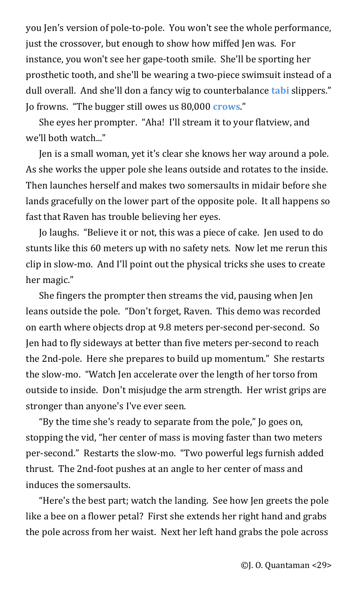you Jen's version of pole-to-pole. You won't see the whole performance, just the crossover, but enough to show how miffed Jen was. For instance, you won't see her gape-tooth smile. She'll be sporting her prosthetic tooth, and she'll be wearing a two-piece swimsuit instead of a dull overall. And she'll don a fancy wig to counterbalance **[tabi](#page-39-8)** slippers." Jo frowns. "The bugger still owes us 80,000 **[crows](#page-39-7)**."

<span id="page-28-1"></span><span id="page-28-0"></span>She eyes her prompter. "Aha! I'll stream it to your flatview, and we'll both watch..."

Jen is a small woman, yet it's clear she knows her way around a pole. As she works the upper pole she leans outside and rotates to the inside. Then launches herself and makes two somersaults in midair before she lands gracefully on the lower part of the opposite pole. It all happens so fast that Raven has trouble believing her eyes.

Jo laughs. "Believe it or not, this was a piece of cake. Jen used to do stunts like this 60 meters up with no safety nets. Now let me rerun this clip in slow-mo. And I'll point out the physical tricks she uses to create her magic."

She fingers the prompter then streams the vid, pausing when Jen leans outside the pole. "Don't forget, Raven. This demo was recorded on earth where objects drop at 9.8 meters per-second per-second. So Jen had to fly sideways at better than five meters per-second to reach the 2nd-pole. Here she prepares to build up momentum." She restarts the slow-mo. "Watch Jen accelerate over the length of her torso from outside to inside. Don't misjudge the arm strength. Her wrist grips are stronger than anyone's I've ever seen.

"By the time she's ready to separate from the pole," Jo goes on, stopping the vid, "her center of mass is moving faster than two meters per-second." Restarts the slow-mo. "Two powerful legs furnish added thrust. The 2nd-foot pushes at an angle to her center of mass and induces the somersaults.

"Here's the best part; watch the landing. See how Jen greets the pole like a bee on a flower petal? First she extends her right hand and grabs the pole across from her waist. Next her left hand grabs the pole across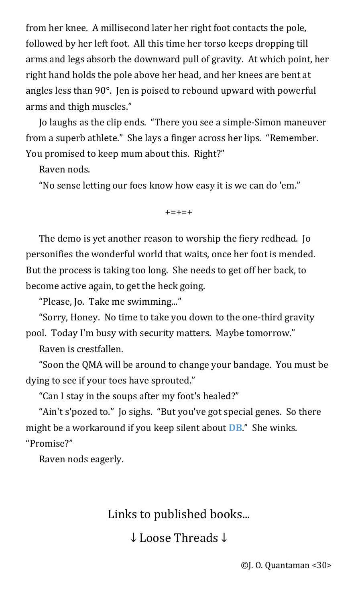from her knee. A millisecond later her right foot contacts the pole, followed by her left foot. All this time her torso keeps dropping till arms and legs absorb the downward pull of gravity. At which point, her right hand holds the pole above her head, and her knees are bent at angles less than 90°. Jen is poised to rebound upward with powerful arms and thigh muscles."

Jo laughs as the clip ends. "There you see a simple-Simon maneuver from a superb athlete." She lays a finger across her lips. "Remember. You promised to keep mum about this. Right?"

Raven nods.

"No sense letting our foes know how easy it is we can do 'em."

 $+ = + = +$ 

The demo is yet another reason to worship the fiery redhead. Jo personifies the wonderful world that waits, once her foot is mended. But the process is taking too long. She needs to get off her back, to become active again, to get the heck going.

"Please, Jo. Take me swimming..."

"Sorry, Honey. No time to take you down to the one-third gravity pool. Today I'm busy with security matters. Maybe tomorrow."

Raven is crestfallen.

"Soon the QMA will be around to change your bandage. You must be dying to see if your toes have sprouted."

"Can I stay in the soups after my foot's healed?"

"Ain't s'pozed to." Jo sighs. "But you've got special genes. So there might be a workaround if you keep silent about **[DB](#page-39-9)**." She winks. "Promise?"

Raven nods eagerly.

Links to published books...

<span id="page-29-0"></span>↓ Loose Threads ↓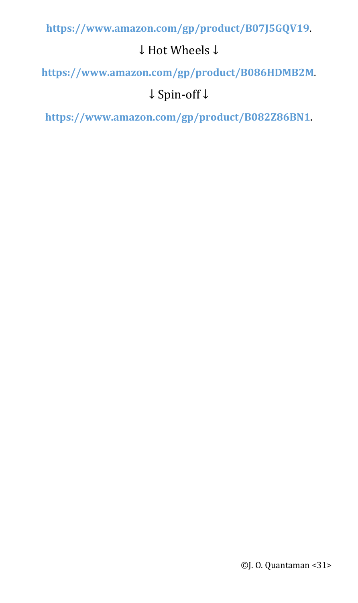**<https://www.amazon.com/gp/product/B07J5GQV19>**.

### ↓ Hot Wheels ↓

**<https://www.amazon.com/gp/product/B086HDMB2M>**.

### ↓ Spin-off ↓

**<https://www.amazon.com/gp/product/B082Z86BN1>**.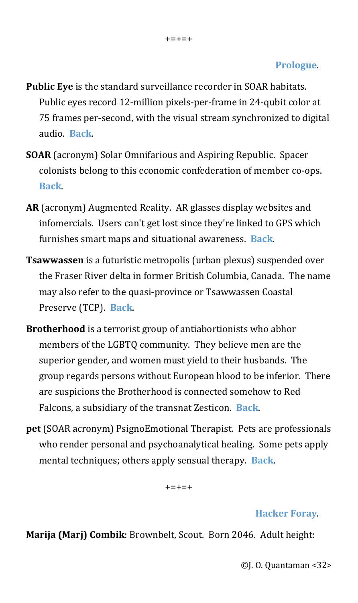#### **[Prologue](#page-0-3)**.

- <span id="page-31-2"></span>**Public Eye** is the standard surveillance recorder in SOAR habitats. Public eyes record 12-million pixels-per-frame in 24-qubit color at 75 frames per-second, with the visual stream synchronized to digital audio. **[Back](#page-0-2)**.
- <span id="page-31-1"></span>**SOAR** (acronym) Solar Omnifarious and Aspiring Republic. Spacer colonists belong to this economic confederation of member co-ops. **[Back](#page-0-1)**.
- <span id="page-31-0"></span>**AR** (acronym) Augmented Reality. AR glasses display websites and infomercials. Users can't get lost since they're linked to GPS which furnishes smart maps and situational awareness. **[Back](#page-0-0)**.
- <span id="page-31-3"></span>**Tsawwassen** is a futuristic metropolis (urban plexus) suspended over the Fraser River delta in former British Columbia, Canada. The name may also refer to the quasi-province or Tsawwassen Coastal Preserve (TCP). **[Back](#page-1-0)**.
- <span id="page-31-5"></span>**Brotherhood** is a terrorist group of antiabortionists who abhor members of the LGBTQ community. They believe men are the superior gender, and women must yield to their husbands. The group regards persons without European blood to be inferior. There are suspicions the Brotherhood is connected somehow to Red Falcons, a subsidiary of the transnat Zesticon. **[Back](#page-2-1)**.
- <span id="page-31-4"></span>**pet** (SOAR acronym) PsignoEmotional Therapist. Pets are professionals who render personal and psychoanalytical healing. Some pets apply mental techniques; others apply sensual therapy. **[Back](#page-2-0)**.

 $+ = + = +$ 

#### **[Hacker Foray](#page-3-0)**.

<span id="page-31-6"></span>**Marija (Marj) Combik**: Brownbelt, Scout. Born 2046. Adult height:

©J. O. Quantaman <32>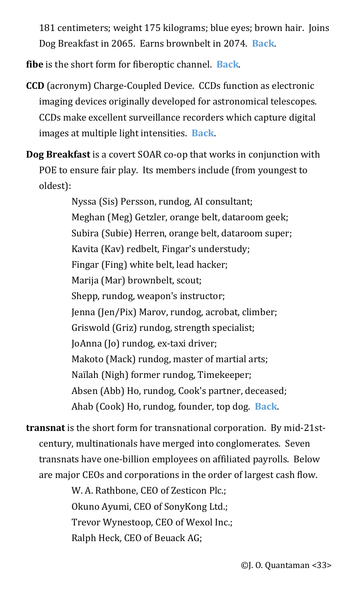181 centimeters; weight 175 kilograms; blue eyes; brown hair. Joins Dog Breakfast in 2065. Earns brownbelt in 2074. **[Back](#page-3-4)**.

<span id="page-32-3"></span>**fibe** is the short form for fiberoptic channel. **[Back](#page-3-3)**.

- <span id="page-32-2"></span>**CCD** (acronym) Charge-Coupled Device. CCDs function as electronic imaging devices originally developed for astronomical telescopes. CCDs make excellent surveillance recorders which capture digital images at multiple light intensities. **[Back](#page-3-2)**.
- <span id="page-32-1"></span>**Dog Breakfast** is a covert SOAR co-op that works in conjunction with POE to ensure fair play. Its members include (from youngest to oldest):

Nyssa (Sis) Persson, rundog, AI consultant; Meghan (Meg) Getzler, orange belt, dataroom geek; Subira (Subie) Herren, orange belt, dataroom super; Kavita (Kav) redbelt, Fingar's understudy; Fingar (Fing) white belt, lead hacker; Marija (Mar) brownbelt, scout; Shepp, rundog, weapon's instructor; Jenna (Jen/Pix) Marov, rundog, acrobat, climber; Griswold (Griz) rundog, strength specialist; JoAnna (Jo) rundog, ex-taxi driver; Makoto (Mack) rundog, master of martial arts; Naïlah (Nigh) former rundog, Timekeeper; Absen (Abb) Ho, rundog, Cook's partner, deceased; Ahab (Cook) Ho, rundog, founder, top dog. **[Back](#page-3-1)**.

<span id="page-32-0"></span>**transnat** is the short form for transnational corporation. By mid-21stcentury, multinationals have merged into conglomerates. Seven transnats have one-billion employees on affiliated payrolls. Below are major CEOs and corporations in the order of largest cash flow.

> W. A. Rathbone, CEO of Zesticon Plc.; Okuno Ayumi, CEO of SonyKong Ltd.; Trevor Wynestoop, CEO of Wexol Inc.; Ralph Heck, CEO of Beuack AG;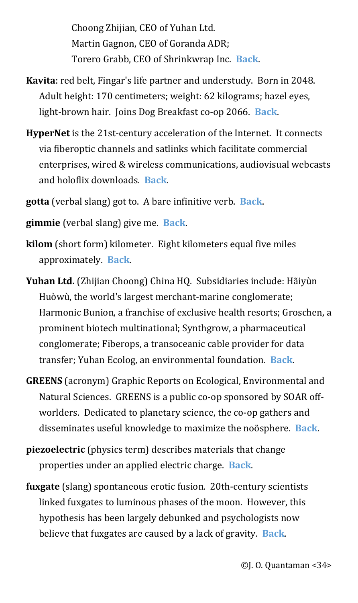Choong Zhijian, CEO of Yuhan Ltd. Martin Gagnon, CEO of Goranda ADR; Torero Grabb, CEO of Shrinkwrap Inc. **[Back](#page-3-5)**.

- <span id="page-33-1"></span>**Kavita**: red belt, Fingar's life partner and understudy. Born in 2048. Adult height: 170 centimeters; weight: 62 kilograms; hazel eyes, light-brown hair. Joins Dog Breakfast co-op 2066. **[Back](#page-4-1)**.
- <span id="page-33-0"></span>**HyperNet** is the 21st-century acceleration of the Internet. It connects via fiberoptic channels and satlinks which facilitate commercial enterprises, wired & wireless communications, audiovisual webcasts and holoflix downloads. **[Back](#page-4-0)**.
- <span id="page-33-3"></span>**gotta** (verbal slang) got to. A bare infinitive verb. **[Back](#page-5-1)**.
- <span id="page-33-2"></span>**gimmie** (verbal slang) give me. **[Back](#page-5-0)**.
- <span id="page-33-5"></span>**kilom** (short form) kilometer. Eight kilometers equal five miles approximately. **[Back](#page-6-1)**.
- <span id="page-33-4"></span>**Yuhan Ltd.** (Zhijian Choong) China HQ. Subsidiaries include: Hãiyùn Huòwù, the world's largest merchant-marine conglomerate; Harmonic Bunion, a franchise of exclusive health resorts; Groschen, a prominent biotech multinational; Synthgrow, a pharmaceutical conglomerate; Fiberops, a transoceanic cable provider for data transfer; Yuhan Ecolog, an environmental foundation. **[Back](#page-6-0)**.
- <span id="page-33-7"></span>**GREENS** (acronym) Graphic Reports on Ecological, Environmental and Natural Sciences. GREENS is a public co-op sponsored by SOAR offworlders. Dedicated to planetary science, the co-op gathers and disseminates useful knowledge to maximize the noösphere. **[Back](#page-7-1)**.
- <span id="page-33-6"></span>**piezoelectric** (physics term) describes materials that change properties under an applied electric charge. **[Back](#page-7-0)**.
- <span id="page-33-8"></span>**fuxgate** (slang) spontaneous erotic fusion. 20th-century scientists linked fuxgates to luminous phases of the moon. However, this hypothesis has been largely debunked and psychologists now believe that fuxgates are caused by a lack of gravity. **[Back](#page-8-0)**.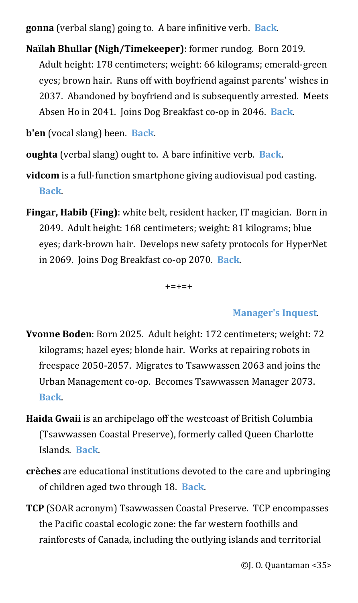<span id="page-34-2"></span>**gonna** (verbal slang) going to. A bare infinitive verb. **[Back](#page-8-3)**.

<span id="page-34-1"></span>**Naïlah Bhullar (Nigh/Timekeeper)**: former rundog. Born 2019. Adult height: 178 centimeters; weight: 66 kilograms; emerald-green eyes; brown hair. Runs off with boyfriend against parents' wishes in 2037. Abandoned by boyfriend and is subsequently arrested. Meets Absen Ho in 2041. Joins Dog Breakfast co-op in 2046. **[Back](#page-8-2)**.

<span id="page-34-0"></span>**b'en** (vocal slang) been. **[Back](#page-8-1)**.

<span id="page-34-5"></span>**oughta** (verbal slang) ought to. A bare infinitive verb. **[Back](#page-10-2)**.

- <span id="page-34-4"></span>**vidcom** is a full-function smartphone giving audiovisual pod casting. **[Back](#page-10-1)**.
- <span id="page-34-3"></span>**Fingar, Habib (Fing)**: white belt, resident hacker, IT magician. Born in 2049. Adult height: 168 centimeters; weight: 81 kilograms; blue eyes; dark-brown hair. Develops new safety protocols for HyperNet in 2069. Joins Dog Breakfast co-op 2070. **[Back](#page-10-0)**.

+=+=+

### **[Manager's Inquest](#page-11-3)**.

- <span id="page-34-8"></span>**Yvonne Boden**: Born 2025. Adult height: 172 centimeters; weight: 72 kilograms; hazel eyes; blonde hair. Works at repairing robots in freespace 2050-2057. Migrates to Tsawwassen 2063 and joins the Urban Management co-op. Becomes Tsawwassen Manager 2073. **[Back](#page-11-2)**.
- <span id="page-34-7"></span>**Haida Gwaii** is an archipelago off the westcoast of British Columbia (Tsawwassen Coastal Preserve), formerly called Queen Charlotte Islands. **[Back](#page-11-1)**.
- <span id="page-34-6"></span>**crèches** are educational institutions devoted to the care and upbringing of children aged two through 18. **[Back](#page-11-0)**.
- <span id="page-34-9"></span>**TCP** (SOAR acronym) Tsawwassen Coastal Preserve. TCP encompasses the Pacific coastal ecologic zone: the far western foothills and rainforests of Canada, including the outlying islands and territorial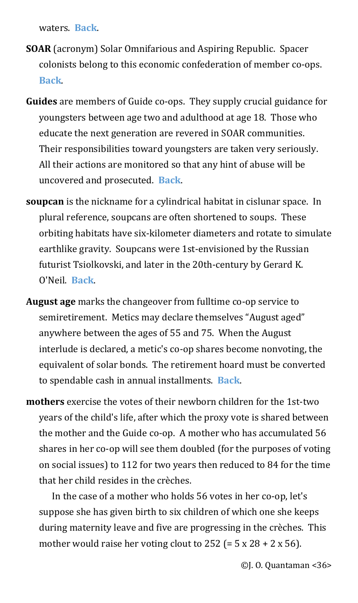waters. **[Back](#page-12-2)**.

- <span id="page-35-1"></span>**SOAR** (acronym) Solar Omnifarious and Aspiring Republic. Spacer colonists belong to this economic confederation of member co-ops. **[Back](#page-12-1)**.
- <span id="page-35-0"></span>**Guides** are members of Guide co-ops. They supply crucial guidance for youngsters between age two and adulthood at age 18. Those who educate the next generation are revered in SOAR communities. Their responsibilities toward youngsters are taken very seriously. All their actions are monitored so that any hint of abuse will be uncovered and prosecuted. **[Back](#page-12-0)**.
- <span id="page-35-4"></span>**soupcan** is the nickname for a cylindrical habitat in cislunar space. In plural reference, soupcans are often shortened to soups. These orbiting habitats have six-kilometer diameters and rotate to simulate earthlike gravity. Soupcans were 1st-envisioned by the Russian futurist Tsiolkovski, and later in the 20th-century by Gerard K. O'Neil. **[Back](#page-13-1)**.
- <span id="page-35-3"></span>**August age** marks the changeover from fulltime co-op service to semiretirement. Metics may declare themselves "August aged" anywhere between the ages of 55 and 75. When the August interlude is declared, a metic's co-op shares become nonvoting, the equivalent of solar bonds. The retirement hoard must be converted to spendable cash in annual installments. **[Back](#page-13-0)**.
- <span id="page-35-2"></span>**mothers** exercise the votes of their newborn children for the 1st-two years of the child's life, after which the proxy vote is shared between the mother and the Guide co-op. A mother who has accumulated 56 shares in her co-op will see them doubled (for the purposes of voting on social issues) to 112 for two years then reduced to 84 for the time that her child resides in the crèches.

In the case of a mother who holds 56 votes in her co-op, let's suppose she has given birth to six children of which one she keeps during maternity leave and five are progressing in the crèches. This mother would raise her voting clout to  $252$  (=  $5 \times 28 + 2 \times 56$ ).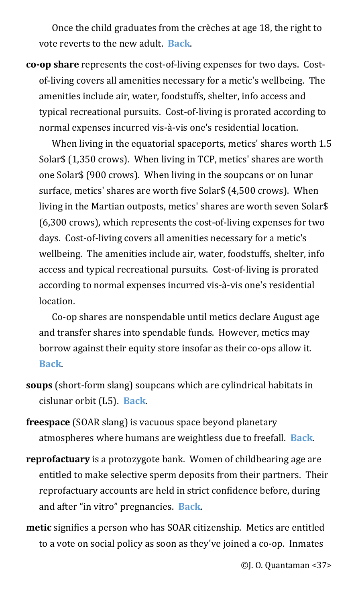Once the child graduates from the crèches at age 18, the right to vote reverts to the new adult. **[Back](#page-13-2)**.

<span id="page-36-0"></span>**co-op share** represents the cost-of-living expenses for two days. Costof-living covers all amenities necessary for a metic's wellbeing. The amenities include air, water, foodstuffs, shelter, info access and typical recreational pursuits. Cost-of-living is prorated according to normal expenses incurred vis-à-vis one's residential location.

When living in the equatorial spaceports, metics' shares worth 1.5 Solar\$ (1,350 crows). When living in TCP, metics' shares are worth one Solar\$ (900 crows). When living in the soupcans or on lunar surface, metics' shares are worth five Solar\$ (4,500 crows). When living in the Martian outposts, metics' shares are worth seven Solar\$ (6,300 crows), which represents the cost-of-living expenses for two days. Cost-of-living covers all amenities necessary for a metic's wellbeing. The amenities include air, water, foodstuffs, shelter, info access and typical recreational pursuits. Cost-of-living is prorated according to normal expenses incurred vis-à-vis one's residential location.

Co-op shares are nonspendable until metics declare August age and transfer shares into spendable funds. However, metics may borrow against their equity store insofar as their co-ops allow it. **[Back](#page-14-0)**.

- <span id="page-36-4"></span>**soups** (short-form slang) soupcans which are cylindrical habitats in cislunar orbit (L5). **[Back](#page-15-2)**.
- <span id="page-36-3"></span>**freespace** (SOAR slang) is vacuous space beyond planetary atmospheres where humans are weightless due to freefall. **[Back](#page-15-1)**.
- <span id="page-36-2"></span>**reprofactuary** is a protozygote bank. Women of childbearing age are entitled to make selective sperm deposits from their partners. Their reprofactuary accounts are held in strict confidence before, during and after "in vitro" pregnancies. **[Back](#page-15-0)**.
- <span id="page-36-1"></span>**metic** signifies a person who has SOAR citizenship. Metics are entitled to a vote on social policy as soon as they've joined a co-op. Inmates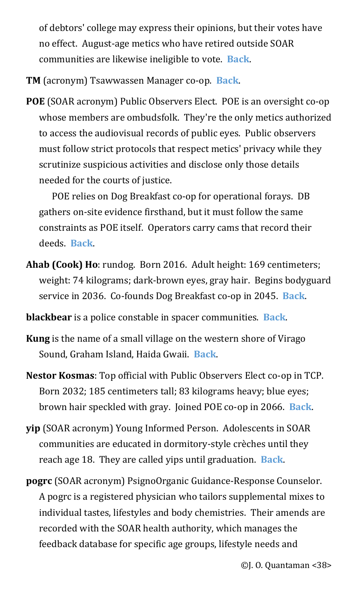of debtors' college may express their opinions, but their votes have no effect. August-age metics who have retired outside SOAR communities are likewise ineligible to vote. **[Back](#page-15-4)**.

<span id="page-37-0"></span>**TM** (acronym) Tsawwassen Manager co-op. **[Back](#page-15-3)**.

<span id="page-37-3"></span>**POE** (SOAR acronym) Public Observers Elect. POE is an oversight co-op whose members are ombudsfolk. They're the only metics authorized to access the audiovisual records of public eyes. Public observers must follow strict protocols that respect metics' privacy while they scrutinize suspicious activities and disclose only those details needed for the courts of justice.

POE relies on Dog Breakfast co-op for operational forays. DB gathers on-site evidence firsthand, but it must follow the same constraints as POE itself. Operators carry cams that record their deeds. **[Back](#page-16-2)**.

<span id="page-37-2"></span>**Ahab (Cook) Ho**: rundog. Born 2016. Adult height: 169 centimeters; weight: 74 kilograms; dark-brown eyes, gray hair. Begins bodyguard service in 2036. Co-founds Dog Breakfast co-op in 2045. **[Back](#page-16-1)**.

<span id="page-37-1"></span>**blackbear** is a police constable in spacer communities. **[Back](#page-16-0)**.

- <span id="page-37-5"></span>**Kung** is the name of a small village on the western shore of Virago Sound, Graham Island, Haida Gwaii. **[Back](#page-17-1)**.
- <span id="page-37-4"></span>**Nestor Kosmas**: Top official with Public Observers Elect co-op in TCP. Born 2032; 185 centimeters tall; 83 kilograms heavy; blue eyes; brown hair speckled with gray. Joined POE co-op in 2066. **[Back](#page-17-0)**.
- <span id="page-37-6"></span>**yip** (SOAR acronym) Young Informed Person. Adolescents in SOAR communities are educated in dormitory-style crèches until they reach age 18. They are called yips until graduation. **[Back](#page-18-0)**.
- <span id="page-37-7"></span>**pogrc** (SOAR acronym) PsignoOrganic Guidance-Response Counselor. A pogrc is a registered physician who tailors supplemental mixes to individual tastes, lifestyles and body chemistries. Their amends are recorded with the SOAR health authority, which manages the feedback database for specific age groups, lifestyle needs and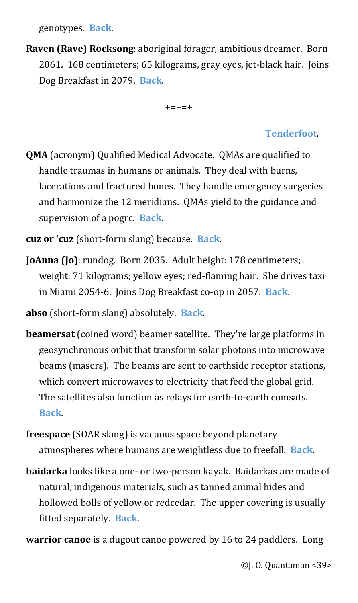genotypes. **[Back](#page-19-1)**.

<span id="page-38-0"></span>**Raven (Rave) Rocksong**: aboriginal forager, ambitious dreamer. Born 2061. 168 centimeters; 65 kilograms, gray eyes, jet-black hair. Joins Dog Breakfast in 2079. **[Back](#page-19-0)**.

+=+=+

### **[Tenderfoot](#page-20-3)**.

- <span id="page-38-3"></span>**QMA** (acronym) Qualified Medical Advocate. QMAs are qualified to handle traumas in humans or animals. They deal with burns, lacerations and fractured bones. They handle emergency surgeries and harmonize the 12 meridians. QMAs yield to the guidance and supervision of a pogrc. **[Back](#page-20-2)**.
- <span id="page-38-2"></span>**cuz or 'cuz** (short-form slang) because. **[Back](#page-20-1)**.
- <span id="page-38-1"></span>**JoAnna (Jo)**: rundog. Born 2035. Adult height: 178 centimeters; weight: 71 kilograms; yellow eyes; red-flaming hair. She drives taxi in Miami 2054-6. Joins Dog Breakfast co-op in 2057. **[Back](#page-20-0)**.
- <span id="page-38-6"></span>**abso** (short-form slang) absolutely. **[Back](#page-21-2)**.
- <span id="page-38-5"></span>**beamersat** (coined word) beamer satellite. They're large platforms in geosynchronous orbit that transform solar photons into microwave beams (masers). The beams are sent to earthside receptor stations, which convert microwaves to electricity that feed the global grid. The satellites also function as relays for earth-to-earth comsats. **[Back](#page-21-1)**.
- <span id="page-38-4"></span>**freespace** (SOAR slang) is vacuous space beyond planetary atmospheres where humans are weightless due to freefall. **[Back](#page-21-0)**.
- <span id="page-38-8"></span>**baidarka** looks like a one- or two-person kayak. Baidarkas are made of natural, indigenous materials, such as tanned animal hides and hollowed bolls of yellow or redcedar. The upper covering is usually fitted separately. **[Back](#page-22-0)**.
- <span id="page-38-7"></span>**warrior canoe** is a dugout canoe powered by 16 to 24 paddlers. Long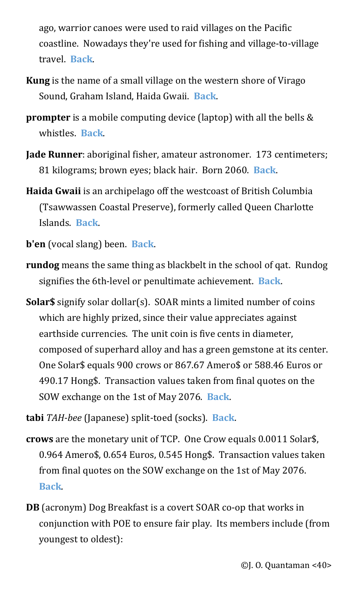ago, warrior canoes were used to raid villages on the Pacific coastline. Nowadays they're used for fishing and village-to-village travel. **[Back](#page-22-1)**.

- <span id="page-39-0"></span>**Kung** is the name of a small village on the western shore of Virago Sound, Graham Island, Haida Gwaii. **[Back](#page-23-0)**.
- <span id="page-39-2"></span>**prompter** is a mobile computing device (laptop) with all the bells & whistles. **[Back](#page-24-1)**.
- <span id="page-39-1"></span>**Jade Runner**: aboriginal fisher, amateur astronomer. 173 centimeters; 81 kilograms; brown eyes; black hair. Born 2060. **[Back](#page-24-0)**.
- <span id="page-39-3"></span>**Haida Gwaii** is an archipelago off the westcoast of British Columbia (Tsawwassen Coastal Preserve), formerly called Queen Charlotte Islands. **[Back](#page-25-0)**.
- <span id="page-39-4"></span>**b'en** (vocal slang) been. **[Back](#page-26-0)**.
- <span id="page-39-6"></span>**rundog** means the same thing as blackbelt in the school of qat. Rundog signifies the 6th-level or penultimate achievement. **[Back](#page-27-1)**.
- <span id="page-39-5"></span>**Solar\$** signify solar dollar(s). SOAR mints a limited number of coins which are highly prized, since their value appreciates against earthside currencies. The unit coin is five cents in diameter, composed of superhard alloy and has a green gemstone at its center. One Solar\$ equals 900 crows or 867.67 Amero\$ or 588.46 Euros or 490.17 Hong\$. Transaction values taken from final quotes on the SOW exchange on the 1st of May 2076. **[Back](#page-27-0)**.
- <span id="page-39-8"></span>**tabi** *TAH-bee* (Japanese) split-toed (socks). **[Back](#page-28-1)**.
- <span id="page-39-7"></span>**crows** are the monetary unit of TCP. One Crow equals 0.0011 Solar\$, 0.964 Amero\$, 0.654 Euros, 0.545 Hong\$. Transaction values taken from final quotes on the SOW exchange on the 1st of May 2076. **[Back](#page-28-0)**.
- <span id="page-39-9"></span>**DB** (acronym) Dog Breakfast is a covert SOAR co-op that works in conjunction with POE to ensure fair play. Its members include (from youngest to oldest):